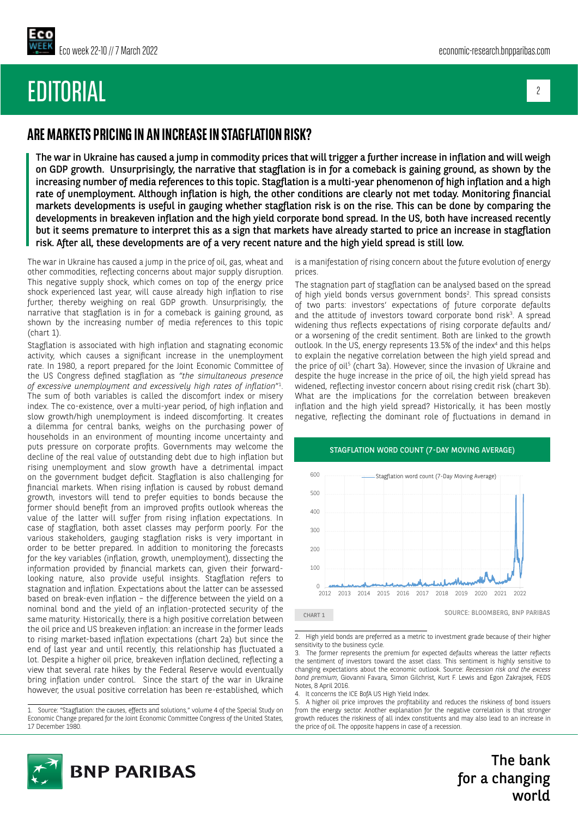EDITORIAL

## 2

# **ARE MARKETS PRICING IN AN INCREASE IN STAGFLATION RISK?**

The war in Ukraine has caused a jump in commodity prices that will trigger a further increase in inflation and will weigh on GDP growth. Unsurprisingly, the narrative that stagflation is in for a comeback is gaining ground, as shown by the increasing number of media references to this topic. Stagflation is a multi-year phenomenon of high inflation and a high rate of unemployment. Although inflation is high, the other conditions are clearly not met today. Monitoring financial markets developments is useful in gauging whether stagflation risk is on the rise. This can be done by comparing the developments in breakeven inflation and the high yield corporate bond spread. In the US, both have increased recently but it seems premature to interpret this as a sign that markets have already started to price an increase in stagflation risk. After all, these developments are of a very recent nature and the high yield spread is still low.

The war in Ukraine has caused a jump in the price of oil, gas, wheat and other commodities, reflecting concerns about major supply disruption. This negative supply shock, which comes on top of the energy price shock experienced last year, will cause already high inflation to rise further, thereby weighing on real GDP growth. Unsurprisingly, the narrative that stagflation is in for a comeback is gaining ground, as shown by the increasing number of media references to this topic (chart 1).

Stagflation is associated with high inflation and stagnating economic activity, which causes a significant increase in the unemployment rate. In 1980, a report prepared for the Joint Economic Committee of the US Congress defined stagflation as *"the simultaneous presence of excessive unemployment and excessively high rates of inflation*"1 . The sum of both variables is called the discomfort index or misery index. The co-existence, over a multi-year period, of high inflation and slow growth/high unemployment is indeed discomforting. It creates a dilemma for central banks, weighs on the purchasing power of households in an environment of mounting income uncertainty and puts pressure on corporate profits. Governments may welcome the decline of the real value of outstanding debt due to high inflation but rising unemployment and slow growth have a detrimental impact on the government budget deficit. Stagflation is also challenging for financial markets. When rising inflation is caused by robust demand growth, investors will tend to prefer equities to bonds because the former should benefit from an improved profits outlook whereas the value of the latter will suffer from rising inflation expectations. In case of stagflation, both asset classes may perform poorly. For the various stakeholders, gauging stagflation risks is very important in order to be better prepared. In addition to monitoring the forecasts for the key variables (inflation, growth, unemployment), dissecting the information provided by financial markets can, given their forwardlooking nature, also provide useful insights. Stagflation refers to stagnation and inflation. Expectations about the latter can be assessed based on break-even inflation – the difference between the yield on a nominal bond and the yield of an inflation-protected security of the same maturity. Historically, there is a high positive correlation between the oil price and US breakeven inflation: an increase in the former leads to rising market-based inflation expectations (chart 2a) but since the end of last year and until recently, this relationship has fluctuated a lot. Despite a higher oil price, breakeven inflation declined, reflecting a view that several rate hikes by the Federal Reserve would eventually bring inflation under control. Since the start of the war in Ukraine however, the usual positive correlation has been re-established, which

is a manifestation of rising concern about the future evolution of energy prices.

The stagnation part of stagflation can be analysed based on the spread of high yield bonds versus government bonds<sup>2</sup>. This spread consists of two parts: investors' expectations of future corporate defaults and the attitude of investors toward corporate bond risk<sup>3</sup>. A spread widening thus reflects expectations of rising corporate defaults and/ or a worsening of the credit sentiment. Both are linked to the growth outlook. In the US, energy represents 13.5% of the index<sup>4</sup> and this helps to explain the negative correlation between the high yield spread and the price of oil<sup>5</sup> (chart 3a). However, since the invasion of Ukraine and despite the huge increase in the price of oil, the high yield spread has widened, reflecting investor concern about rising credit risk (chart 3b). What are the implications for the correlation between breakeven inflation and the high yield spread? Historically, it has been mostly negative, reflecting the dominant role of fluctuations in demand in



CHART 1 SOURCE: BLOOMBERG, BNP PARIBAS



The bank for a changing world

<sup>1.</sup> Source: "Stagflation: the causes, effects and solutions," volume 4 of the Special Study on Economic Change prepared for the Joint Economic Committee Congress of the United States, 17 December 1980.

<sup>2.</sup> High yield bonds are preferred as a metric to investment grade because of their higher sensitivity to the business cycle.

<sup>3.</sup> The former represents the premium for expected defaults whereas the latter reflects the sentiment of investors toward the asset class. This sentiment is highly sensitive to changing expectations about the economic outlook. Source: *Recession risk and the excess bond premium*, Giovanni Favara, Simon Gilchrist, Kurt F. Lewis and Egon Zakrajsek, FEDS Notes, 8 April 2016.

<sup>4.</sup> It concerns the ICE BofA US High Yield Index.

<sup>5.</sup> A higher oil price improves the profitability and reduces the riskiness of bond issuers from the energy sector. Another explanation for the negative correlation is that stronger growth reduces the riskiness of all index constituents and may also lead to an increase in the price of oil. The opposite happens in case of a recession.